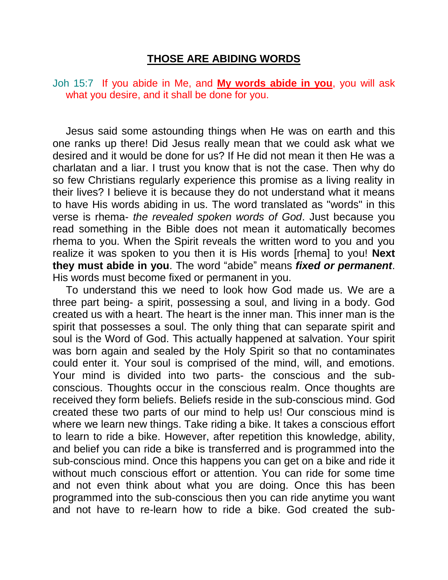## **THOSE ARE ABIDING WORDS**

Joh 15:7 If you abide in Me, and **My words abide in you**, you will ask what you desire, and it shall be done for you.

Jesus said some astounding things when He was on earth and this one ranks up there! Did Jesus really mean that we could ask what we desired and it would be done for us? If He did not mean it then He was a charlatan and a liar. I trust you know that is not the case. Then why do so few Christians regularly experience this promise as a living reality in their lives? I believe it is because they do not understand what it means to have His words abiding in us. The word translated as "words" in this verse is rhema- *the revealed spoken words of God*. Just because you read something in the Bible does not mean it automatically becomes rhema to you. When the Spirit reveals the written word to you and you realize it was spoken to you then it is His words [rhema] to you! **Next they must abide in you**. The word "abide" means *fixed or permanent*. His words must become fixed or permanent in you.

To understand this we need to look how God made us. We are a three part being- a spirit, possessing a soul, and living in a body. God created us with a heart. The heart is the inner man. This inner man is the spirit that possesses a soul. The only thing that can separate spirit and soul is the Word of God. This actually happened at salvation. Your spirit was born again and sealed by the Holy Spirit so that no contaminates could enter it. Your soul is comprised of the mind, will, and emotions. Your mind is divided into two parts- the conscious and the subconscious. Thoughts occur in the conscious realm. Once thoughts are received they form beliefs. Beliefs reside in the sub-conscious mind. God created these two parts of our mind to help us! Our conscious mind is where we learn new things. Take riding a bike. It takes a conscious effort to learn to ride a bike. However, after repetition this knowledge, ability, and belief you can ride a bike is transferred and is programmed into the sub-conscious mind. Once this happens you can get on a bike and ride it without much conscious effort or attention. You can ride for some time and not even think about what you are doing. Once this has been programmed into the sub-conscious then you can ride anytime you want and not have to re-learn how to ride a bike. God created the sub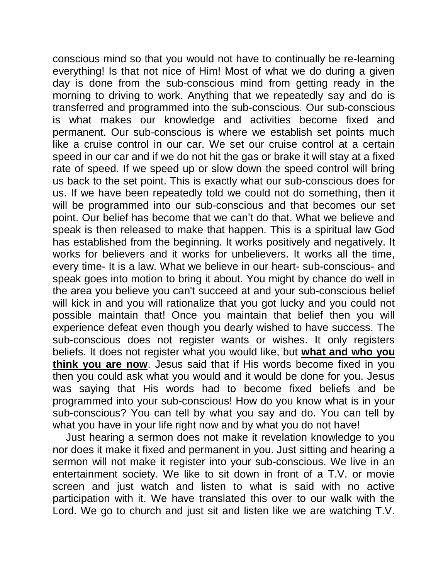conscious mind so that you would not have to continually be re-learning everything! Is that not nice of Him! Most of what we do during a given day is done from the sub-conscious mind from getting ready in the morning to driving to work. Anything that we repeatedly say and do is transferred and programmed into the sub-conscious. Our sub-conscious is what makes our knowledge and activities become fixed and permanent. Our sub-conscious is where we establish set points much like a cruise control in our car. We set our cruise control at a certain speed in our car and if we do not hit the gas or brake it will stay at a fixed rate of speed. If we speed up or slow down the speed control will bring us back to the set point. This is exactly what our sub-conscious does for us. If we have been repeatedly told we could not do something, then it will be programmed into our sub-conscious and that becomes our set point. Our belief has become that we can't do that. What we believe and speak is then released to make that happen. This is a spiritual law God has established from the beginning. It works positively and negatively. It works for believers and it works for unbelievers. It works all the time, every time- It is a law. What we believe in our heart- sub-conscious- and speak goes into motion to bring it about. You might by chance do well in the area you believe you can't succeed at and your sub-conscious belief will kick in and you will rationalize that you got lucky and you could not possible maintain that! Once you maintain that belief then you will experience defeat even though you dearly wished to have success. The sub-conscious does not register wants or wishes. It only registers beliefs. It does not register what you would like, but **what and who you think you are now**. Jesus said that if His words become fixed in you then you could ask what you would and it would be done for you. Jesus was saying that His words had to become fixed beliefs and be programmed into your sub-conscious! How do you know what is in your sub-conscious? You can tell by what you say and do. You can tell by what you have in your life right now and by what you do not have!

Just hearing a sermon does not make it revelation knowledge to you nor does it make it fixed and permanent in you. Just sitting and hearing a sermon will not make it register into your sub-conscious. We live in an entertainment society. We like to sit down in front of a T.V. or movie screen and just watch and listen to what is said with no active participation with it. We have translated this over to our walk with the Lord. We go to church and just sit and listen like we are watching T.V.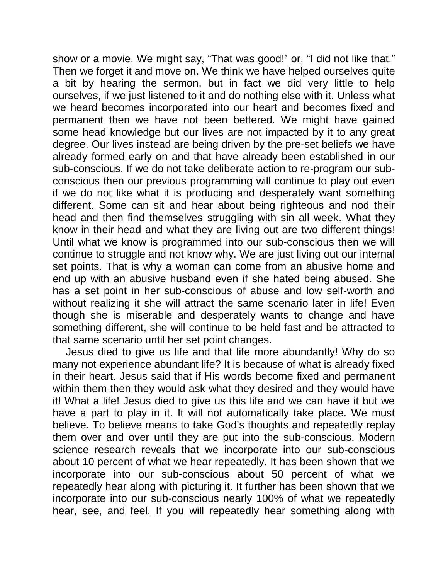show or a movie. We might say, "That was good!" or, "I did not like that." Then we forget it and move on. We think we have helped ourselves quite a bit by hearing the sermon, but in fact we did very little to help ourselves, if we just listened to it and do nothing else with it. Unless what we heard becomes incorporated into our heart and becomes fixed and permanent then we have not been bettered. We might have gained some head knowledge but our lives are not impacted by it to any great degree. Our lives instead are being driven by the pre-set beliefs we have already formed early on and that have already been established in our sub-conscious. If we do not take deliberate action to re-program our subconscious then our previous programming will continue to play out even if we do not like what it is producing and desperately want something different. Some can sit and hear about being righteous and nod their head and then find themselves struggling with sin all week. What they know in their head and what they are living out are two different things! Until what we know is programmed into our sub-conscious then we will continue to struggle and not know why. We are just living out our internal set points. That is why a woman can come from an abusive home and end up with an abusive husband even if she hated being abused. She has a set point in her sub-conscious of abuse and low self-worth and without realizing it she will attract the same scenario later in life! Even though she is miserable and desperately wants to change and have something different, she will continue to be held fast and be attracted to that same scenario until her set point changes.

Jesus died to give us life and that life more abundantly! Why do so many not experience abundant life? It is because of what is already fixed in their heart. Jesus said that if His words become fixed and permanent within them then they would ask what they desired and they would have it! What a life! Jesus died to give us this life and we can have it but we have a part to play in it. It will not automatically take place. We must believe. To believe means to take God's thoughts and repeatedly replay them over and over until they are put into the sub-conscious. Modern science research reveals that we incorporate into our sub-conscious about 10 percent of what we hear repeatedly. It has been shown that we incorporate into our sub-conscious about 50 percent of what we repeatedly hear along with picturing it. It further has been shown that we incorporate into our sub-conscious nearly 100% of what we repeatedly hear, see, and feel. If you will repeatedly hear something along with